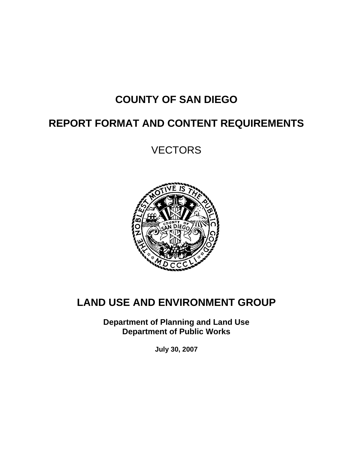# **COUNTY OF SAN DIEGO**

# **REPORT FORMAT AND CONTENT REQUIREMENTS**

**VECTORS** 



# **LAND USE AND ENVIRONMENT GROUP**

**Department of Planning and Land Use Department of Public Works** 

**July 30, 2007**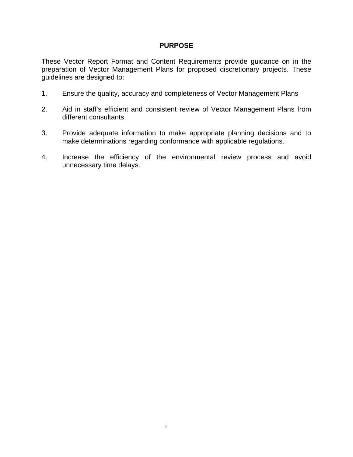#### **PURPOSE**

These Vector Report Format and Content Requirements provide guidance on in the preparation of Vector Management Plans for proposed discretionary projects. These guidelines are designed to:

- 1. Ensure the quality, accuracy and completeness of Vector Management Plans
- 2. Aid in staff's efficient and consistent review of Vector Management Plans from different consultants.
- 3. Provide adequate information to make appropriate planning decisions and to make determinations regarding conformance with applicable regulations.
- 4. Increase the efficiency of the environmental review process and avoid unnecessary time delays.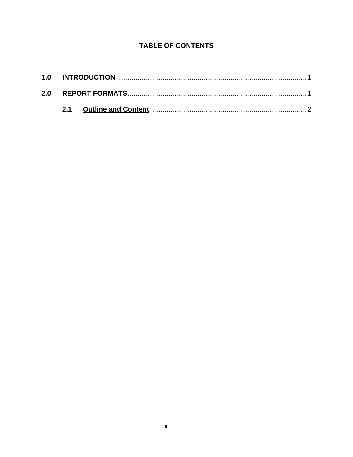### **TABLE OF CONTENTS**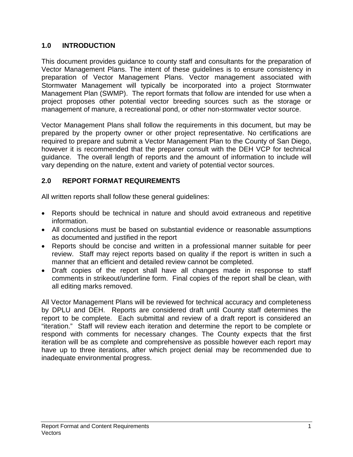#### **1.0 INTRODUCTION**

This document provides guidance to county staff and consultants for the preparation of Vector Management Plans. The intent of these guidelines is to ensure consistency in preparation of Vector Management Plans. Vector management associated with Stormwater Management will typically be incorporated into a project Stormwater Management Plan (SWMP). The report formats that follow are intended for use when a project proposes other potential vector breeding sources such as the storage or management of manure, a recreational pond, or other non-stormwater vector source.

Vector Management Plans shall follow the requirements in this document, but may be prepared by the property owner or other project representative. No certifications are required to prepare and submit a Vector Management Plan to the County of San Diego, however it is recommended that the preparer consult with the DEH VCP for technical guidance. The overall length of reports and the amount of information to include will vary depending on the nature, extent and variety of potential vector sources.

#### **2.0 REPORT FORMAT REQUIREMENTS**

All written reports shall follow these general guidelines:

- Reports should be technical in nature and should avoid extraneous and repetitive information.
- All conclusions must be based on substantial evidence or reasonable assumptions as documented and justified in the report
- Reports should be concise and written in a professional manner suitable for peer review. Staff may reject reports based on quality if the report is written in such a manner that an efficient and detailed review cannot be completed.
- Draft copies of the report shall have all changes made in response to staff comments in strikeout/underline form. Final copies of the report shall be clean, with all editing marks removed.

All Vector Management Plans will be reviewed for technical accuracy and completeness by DPLU and DEH. Reports are considered draft until County staff determines the report to be complete. Each submittal and review of a draft report is considered an "iteration." Staff will review each iteration and determine the report to be complete or respond with comments for necessary changes. The County expects that the first iteration will be as complete and comprehensive as possible however each report may have up to three iterations, after which project denial may be recommended due to inadequate environmental progress.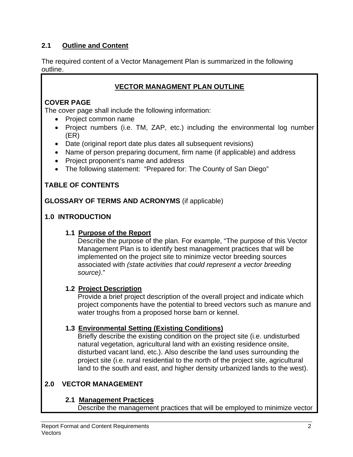#### **2.1 Outline and Content**

The required content of a Vector Management Plan is summarized in the following outline.

### **VECTOR MANAGMENT PLAN OUTLINE**

### **COVER PAGE**

The cover page shall include the following information:

- Project common name
- Project numbers (i.e. TM, ZAP, etc.) including the environmental log number (ER)
- Date (original report date plus dates all subsequent revisions)
- Name of person preparing document, firm name (if applicable) and address
- Project proponent's name and address
- The following statement: "Prepared for: The County of San Diego"

# **TABLE OF CONTENTS**

**GLOSSARY OF TERMS AND ACRONYMS** (if applicable)

### **1.0 INTRODUCTION**

### **1.1 Purpose of the Report**

Describe the purpose of the plan. For example, "The purpose of this Vector Management Plan is to identify best management practices that will be implemented on the project site to minimize vector breeding sources associated with *(state activities that could represent a vector breeding source)*."

### **1.2 Project Description**

Provide a brief project description of the overall project and indicate which project components have the potential to breed vectors such as manure and water troughs from a proposed horse barn or kennel.

### **1.3 Environmental Setting (Existing Conditions)**

Briefly describe the existing condition on the project site (i.e. undisturbed natural vegetation, agricultural land with an existing residence onsite, disturbed vacant land, etc.). Also describe the land uses surrounding the project site (i.e. rural residential to the north of the project site, agricultural land to the south and east, and higher density urbanized lands to the west).

# **2.0 VECTOR MANAGEMENT**

### **2.1 Management Practices**

Describe the management practices that will be employed to minimize vector